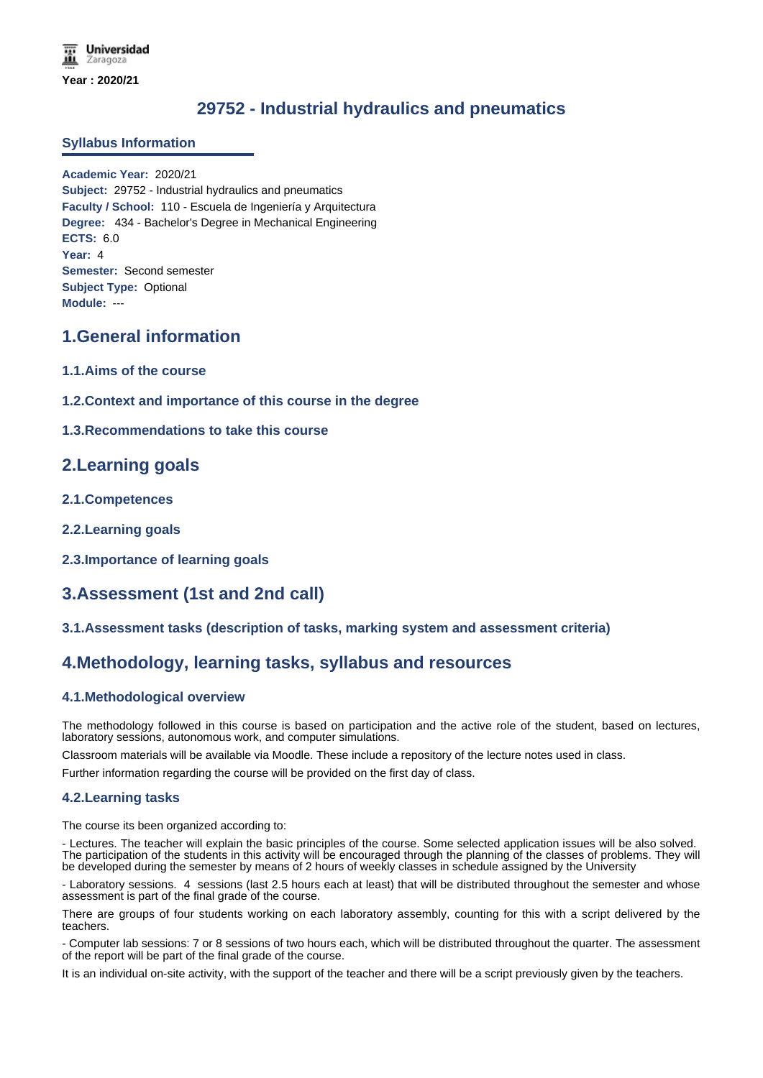# **29752 - Industrial hydraulics and pneumatics**

## **Syllabus Information**

**Academic Year:** 2020/21 **Subject:** 29752 - Industrial hydraulics and pneumatics **Faculty / School:** 110 - Escuela de Ingeniería y Arquitectura **Degree:** 434 - Bachelor's Degree in Mechanical Engineering **ECTS:** 6.0 **Year:** 4 **Semester:** Second semester **Subject Type:** Optional **Module:** ---

# **1.General information**

- **1.1.Aims of the course**
- **1.2.Context and importance of this course in the degree**

### **1.3.Recommendations to take this course**

## **2.Learning goals**

- **2.1.Competences**
- **2.2.Learning goals**
- **2.3.Importance of learning goals**

# **3.Assessment (1st and 2nd call)**

## **3.1.Assessment tasks (description of tasks, marking system and assessment criteria)**

## **4.Methodology, learning tasks, syllabus and resources**

## **4.1.Methodological overview**

The methodology followed in this course is based on participation and the active role of the student, based on lectures, laboratory sessions, autonomous work, and computer simulations.

Classroom materials will be available via Moodle. These include a repository of the lecture notes used in class.

Further information regarding the course will be provided on the first day of class.

#### **4.2.Learning tasks**

The course its been organized according to:

- Lectures. The teacher will explain the basic principles of the course. Some selected application issues will be also solved. The participation of the students in this activity will be encouraged through the planning of the classes of problems. They will be developed during the semester by means of 2 hours of weekly classes in schedule assigned by the University

- Laboratory sessions. 4 sessions (last 2.5 hours each at least) that will be distributed throughout the semester and whose assessment is part of the final grade of the course.

There are groups of four students working on each laboratory assembly, counting for this with a script delivered by the teachers.

- Computer lab sessions: 7 or 8 sessions of two hours each, which will be distributed throughout the quarter. The assessment of the report will be part of the final grade of the course.

It is an individual on-site activity, with the support of the teacher and there will be a script previously given by the teachers.